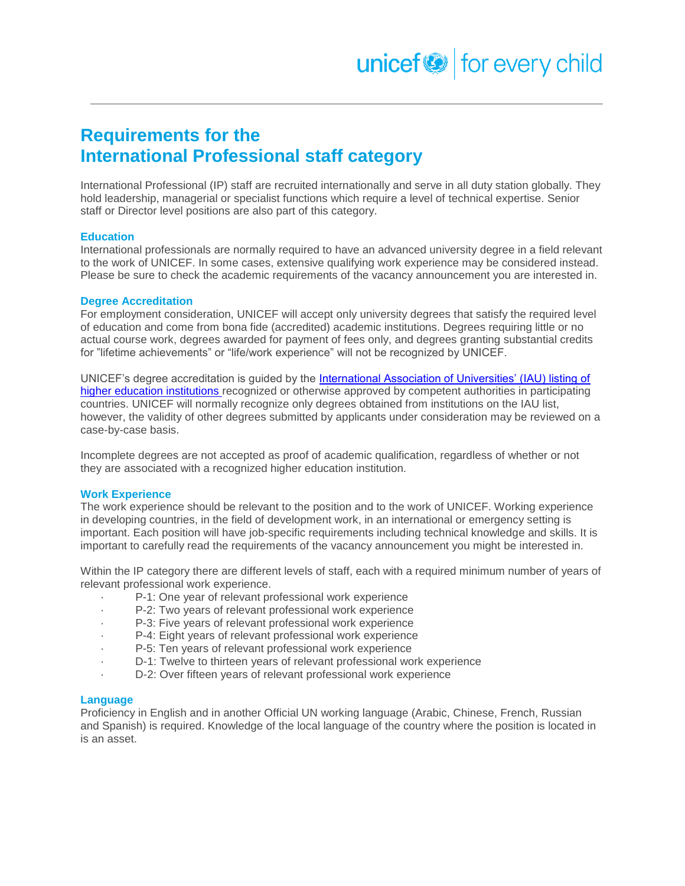## **Requirements for the International Professional staff category**

International Professional (IP) staff are recruited internationally and serve in all duty station globally. They hold leadership, managerial or specialist functions which require a level of technical expertise. Senior staff or Director level positions are also part of this category.

### **Education**

International professionals are normally required to have an advanced university degree in a field relevant to the work of UNICEF. In some cases, extensive qualifying work experience may be considered instead. Please be sure to check the academic requirements of the vacancy announcement you are interested in.

### **Degree Accreditation**

For employment consideration, UNICEF will accept only university degrees that satisfy the required level of education and come from bona fide (accredited) academic institutions. Degrees requiring little or no actual course work, degrees awarded for payment of fees only, and degrees granting substantial credits for "lifetime achievements" or "life/work experience" will not be recognized by UNICEF.

UNICEF's degree accreditation is guided by the [International Association of Universities' \(IAU\) listing of](http://www.whed.net/)  [higher education institutions r](http://www.whed.net/)ecognized or otherwise approved by competent authorities in participating countries. UNICEF will normally recognize only degrees obtained from institutions on the IAU list, however, the validity of other degrees submitted by applicants under consideration may be reviewed on a case-by-case basis.

Incomplete degrees are not accepted as proof of academic qualification, regardless of whether or not they are associated with a recognized higher education institution.

### **Work Experience**

The work experience should be relevant to the position and to the work of UNICEF. Working experience in developing countries, in the field of development work, in an international or emergency setting is important. Each position will have job-specific requirements including technical knowledge and skills. It is important to carefully read the requirements of the vacancy announcement you might be interested in.

Within the IP category there are different levels of staff, each with a required minimum number of years of relevant professional work experience.

- P-1: One year of relevant professional work experience
- P-2: Two years of relevant professional work experience
- P-3: Five years of relevant professional work experience
- P-4: Eight years of relevant professional work experience
- P-5: Ten years of relevant professional work experience
- D-1: Twelve to thirteen years of relevant professional work experience
- D-2: Over fifteen years of relevant professional work experience

### **Language**

Proficiency in English and in another Official UN working language (Arabic, Chinese, French, Russian and Spanish) is required. Knowledge of the local language of the country where the position is located in is an asset.